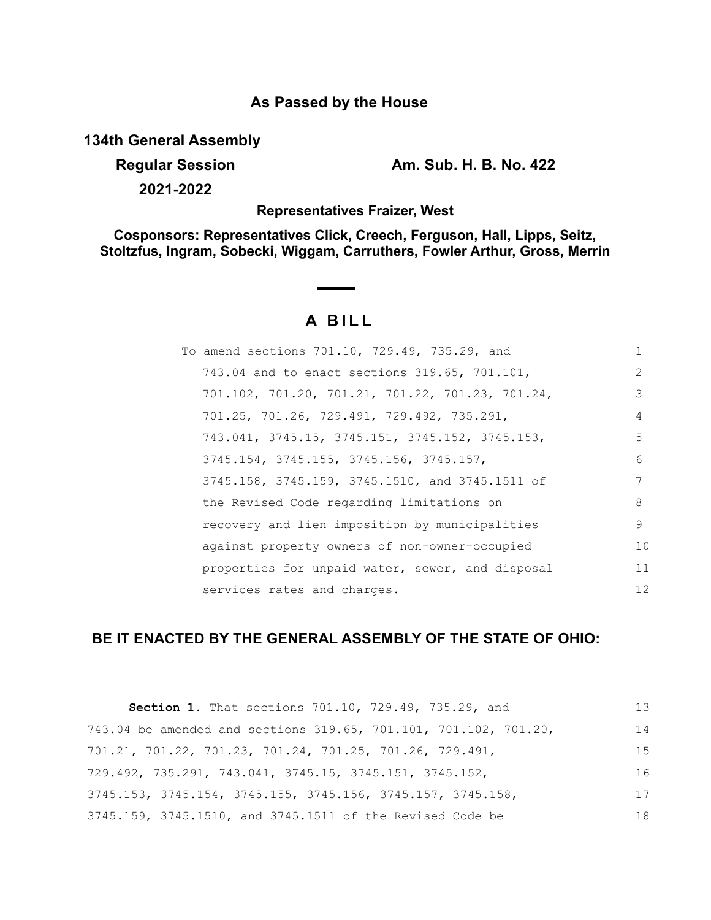# **As Passed by the House**

**134th General Assembly**

**Regular Session Am. Sub. H. B. No. 422**

**2021-2022**

### **Representatives Fraizer, West**

**Cosponsors: Representatives Click, Creech, Ferguson, Hall, Lipps, Seitz, Stoltzfus, Ingram, Sobecki, Wiggam, Carruthers, Fowler Arthur, Gross, Merrin**

# **A BILL**

| To amend sections 701.10, 729.49, 735.29, and    |               |
|--------------------------------------------------|---------------|
| 743.04 and to enact sections 319.65, 701.101,    | $\mathcal{L}$ |
| 701.102, 701.20, 701.21, 701.22, 701.23, 701.24, | 3             |
| 701.25, 701.26, 729.491, 729.492, 735.291,       | 4             |
| 743.041, 3745.15, 3745.151, 3745.152, 3745.153,  | 5             |
| 3745.154, 3745.155, 3745.156, 3745.157,          | 6             |
| 3745.158, 3745.159, 3745.1510, and 3745.1511 of  | 7             |
| the Revised Code regarding limitations on        | 8             |
| recovery and lien imposition by municipalities   | 9             |
| against property owners of non-owner-occupied    | 10            |
| properties for unpaid water, sewer, and disposal | 11            |
| services rates and charges.                      | 12            |
|                                                  |               |

## **BE IT ENACTED BY THE GENERAL ASSEMBLY OF THE STATE OF OHIO:**

| Section 1. That sections 701.10, 729.49, 735.29, and                          | 13 |
|-------------------------------------------------------------------------------|----|
| 743.04 be amended and sections 319.65, 701.101, 701.102, 701.20,              | 14 |
| 701.21, 701.22, 701.23, 701.24, 701.25, 701.26, 729.491,                      | 15 |
| $729.492$ , $735.291$ , $743.041$ , $3745.15$ , $3745.151$ , $3745.152$ ,     | 16 |
| $3745.153$ , $3745.154$ , $3745.155$ , $3745.156$ , $3745.157$ , $3745.158$ , | 17 |
| 3745.159, 3745.1510, and 3745.1511 of the Revised Code be                     | 18 |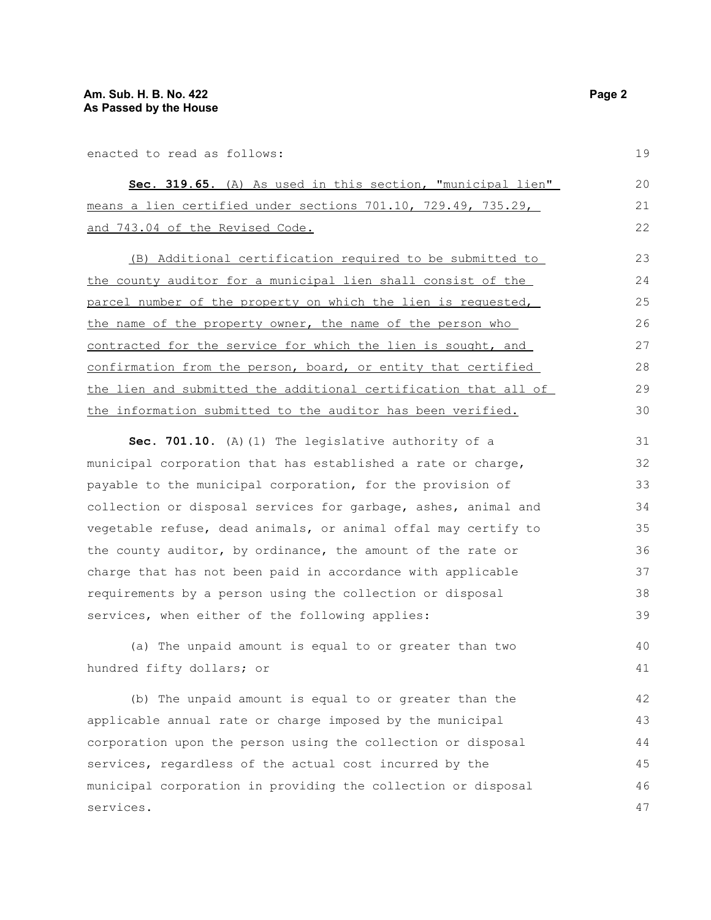enacted to read as follows:

|  |  |                                 |  | Sec. 319.65. (A) As used in this section, "municipal lien"             |  |  | 20 |
|--|--|---------------------------------|--|------------------------------------------------------------------------|--|--|----|
|  |  |                                 |  | means a lien certified under sections $701.10$ , $729.49$ , $735.29$ , |  |  |    |
|  |  | and 743.04 of the Revised Code. |  |                                                                        |  |  | 22 |

(B) Additional certification required to be submitted to the county auditor for a municipal lien shall consist of the parcel number of the property on which the lien is requested, the name of the property owner, the name of the person who contracted for the service for which the lien is sought, and confirmation from the person, board, or entity that certified the lien and submitted the additional certification that all of the information submitted to the auditor has been verified. 23 24 25 26 27 28 29 30

**Sec. 701.10.** (A)(1) The legislative authority of a municipal corporation that has established a rate or charge, payable to the municipal corporation, for the provision of collection or disposal services for garbage, ashes, animal and vegetable refuse, dead animals, or animal offal may certify to the county auditor, by ordinance, the amount of the rate or charge that has not been paid in accordance with applicable requirements by a person using the collection or disposal services, when either of the following applies: 31 32 33 34 35 36 37 38 39

(a) The unpaid amount is equal to or greater than two hundred fifty dollars; or

(b) The unpaid amount is equal to or greater than the applicable annual rate or charge imposed by the municipal corporation upon the person using the collection or disposal services, regardless of the actual cost incurred by the municipal corporation in providing the collection or disposal services. 42 43 44 45 46 47

19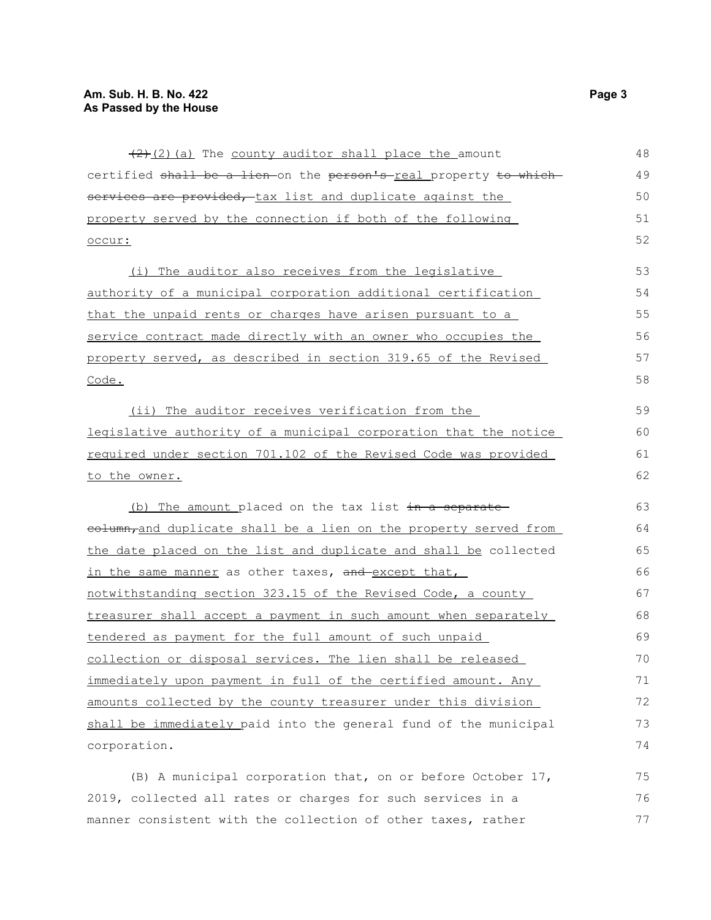| $(2)$ (2) (a) The county auditor shall place the amount           | 48 |
|-------------------------------------------------------------------|----|
| certified shall be a lien-on the person's-real property to which- | 49 |
| services are provided, tax list and duplicate against the         | 50 |
| property served by the connection if both of the following        | 51 |
| occur:                                                            | 52 |
| The auditor also receives from the legislative<br>(i)             | 53 |
| authority of a municipal corporation additional certification     | 54 |
| that the unpaid rents or charges have arisen pursuant to a        | 55 |
| service contract made directly with an owner who occupies the     | 56 |
| property served, as described in section 319.65 of the Revised    | 57 |
| Code.                                                             | 58 |
| (ii) The auditor receives verification from the                   | 59 |
| legislative authority of a municipal corporation that the notice  | 60 |
| required under section 701.102 of the Revised Code was provided   | 61 |
| to the owner.                                                     | 62 |
| (b) The amount placed on the tax list in a separate               | 63 |
| eolumn, and duplicate shall be a lien on the property served from | 64 |
| the date placed on the list and duplicate and shall be collected  | 65 |
| in the same manner as other taxes, and except that,               | 66 |
| notwithstanding section 323.15 of the Revised Code, a county      | 67 |
| treasurer shall accept a payment in such amount when separately   | 68 |
| tendered as payment for the full amount of such unpaid            | 69 |
| collection or disposal services. The lien shall be released       | 70 |
| immediately upon payment in full of the certified amount. Any     | 71 |
| amounts collected by the county treasurer under this division     | 72 |
| shall be immediately paid into the general fund of the municipal  | 73 |
| corporation.                                                      | 74 |
| (B) A municipal corporation that, on or before October 17,        | 75 |
| 2019, collected all rates or charges for such services in a       | 76 |
| manner consistent with the collection of other taxes, rather      | 77 |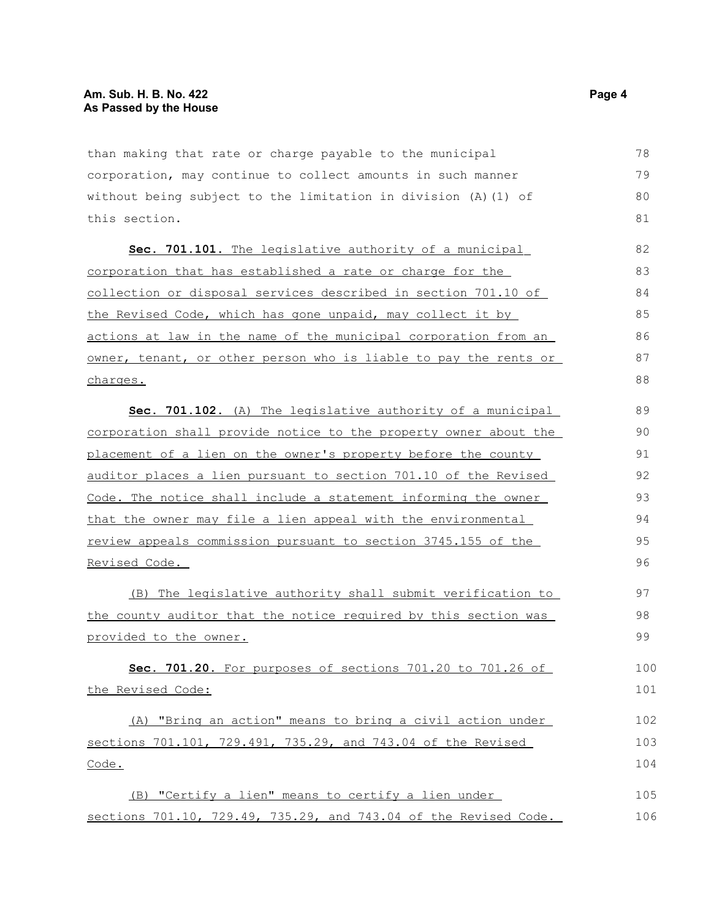than making that rate or charge payable to the municipal corporation, may continue to collect amounts in such manner without being subject to the limitation in division (A)(1) of this section.

Sec. 701.101. The legislative authority of a municipal corporation that has established a rate or charge for the collection or disposal services described in section 701.10 of the Revised Code, which has gone unpaid, may collect it by actions at law in the name of the municipal corporation from an owner, tenant, or other person who is liable to pay the rents or charges.

 **Sec. 701.102.** (A) The legislative authority of a municipal corporation shall provide notice to the property owner about the placement of a lien on the owner's property before the county auditor places a lien pursuant to section 701.10 of the Revised Code. The notice shall include a statement informing the owner that the owner may file a lien appeal with the environmental review appeals commission pursuant to section 3745.155 of the Revised Code. 89 90 91 92 93 94 95 96

(B) The legislative authority shall submit verification to the county auditor that the notice required by this section was provided to the owner.

 **Sec. 701.20.** For purposes of sections 701.20 to 701.26 of the Revised Code: 100 101

(A) "Bring an action" means to bring a civil action under sections 701.101, 729.491, 735.29, and 743.04 of the Revised Code. 102 103 104

(B) "Certify a lien" means to certify a lien under sections 701.10, 729.49, 735.29, and 743.04 of the Revised Code. 105 106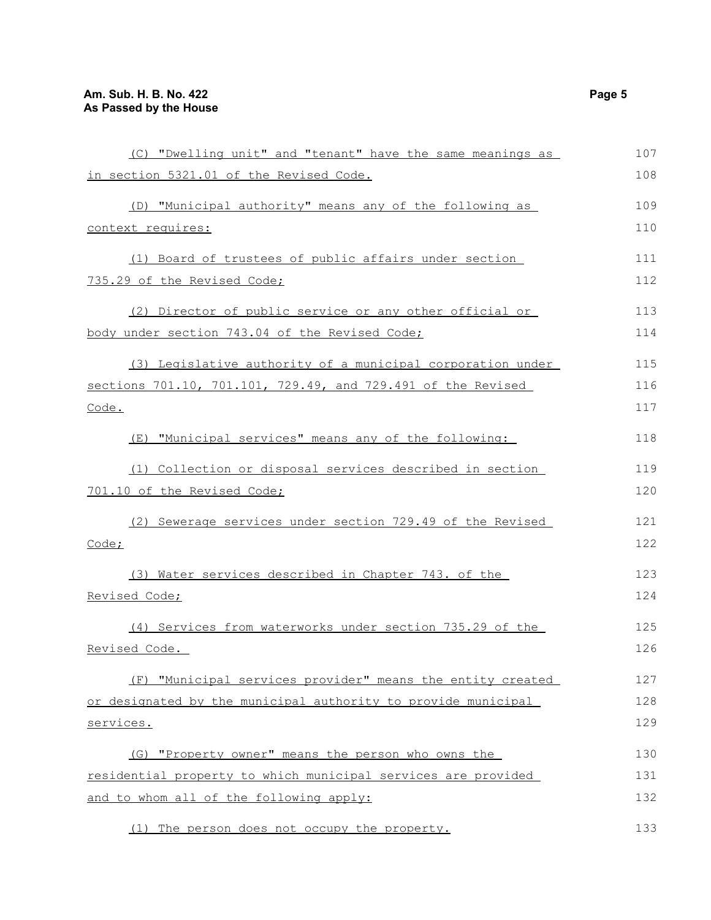| (C) "Dwelling unit" and "tenant" have the same meanings as    | 107 |
|---------------------------------------------------------------|-----|
| in section 5321.01 of the Revised Code.                       | 108 |
| (D) "Municipal authority" means any of the following as       | 109 |
| context requires:                                             | 110 |
| (1) Board of trustees of public affairs under section         | 111 |
| 735.29 of the Revised Code;                                   | 112 |
| (2) Director of public service or any other official or       | 113 |
| body under section 743.04 of the Revised Code;                | 114 |
| (3) Legislative authority of a municipal corporation under    | 115 |
| sections 701.10, 701.101, 729.49, and 729.491 of the Revised  | 116 |
| Code.                                                         | 117 |
| (E) "Municipal services" means any of the following:          | 118 |
| (1) Collection or disposal services described in section      | 119 |
| 701.10 of the Revised Code;                                   | 120 |
| (2) Sewerage services under section 729.49 of the Revised     | 121 |
| Code;                                                         | 122 |
| (3) Water services described in Chapter 743. of the           | 123 |
| Revised Code;                                                 | 124 |
| (4) Services from waterworks under section 735.29 of the      | 125 |
| Revised Code.                                                 | 126 |
| (F) "Municipal services provider" means the entity created    | 127 |
| or designated by the municipal authority to provide municipal | 128 |
| services.                                                     | 129 |
| (G) "Property owner" means the person who owns the            | 130 |
| residential property to which municipal services are provided | 131 |
| and to whom all of the following apply:                       | 132 |
| (1) The person does not occupy the property.                  | 133 |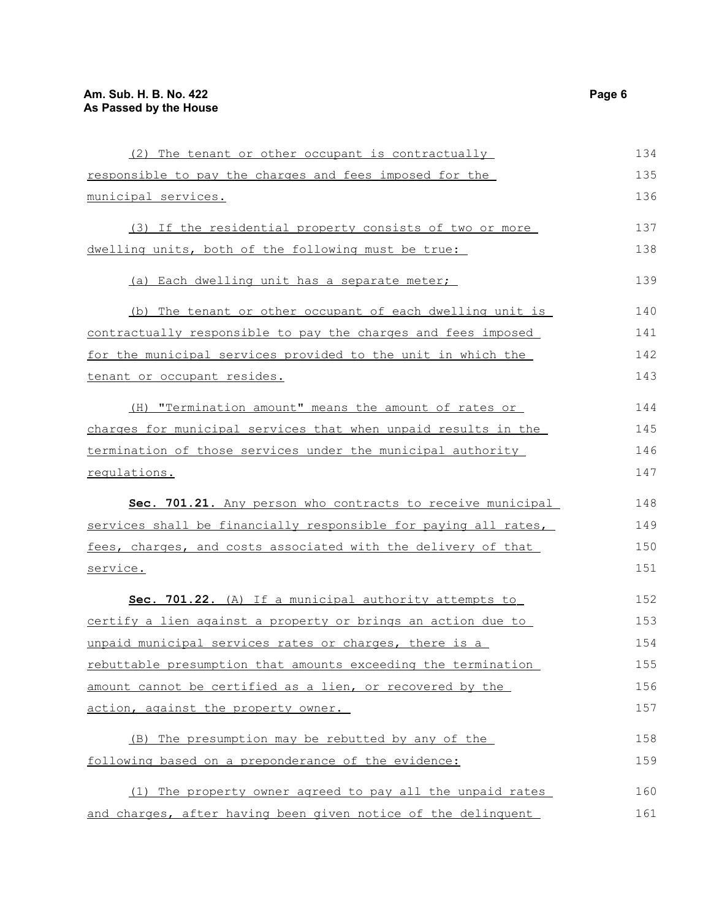| (2) The tenant or other occupant is contractually               | 134 |
|-----------------------------------------------------------------|-----|
| responsible to pay the charges and fees imposed for the         | 135 |
| municipal services.                                             | 136 |
| (3) If the residential property consists of two or more         | 137 |
| dwelling units, both of the following must be true:             | 138 |
| (a) Each dwelling unit has a separate meter;                    | 139 |
| (b) The tenant or other occupant of each dwelling unit is       | 140 |
| contractually responsible to pay the charges and fees imposed   | 141 |
| for the municipal services provided to the unit in which the    | 142 |
| tenant or occupant resides.                                     | 143 |
| (H) "Termination amount" means the amount of rates or           | 144 |
| charges for municipal services that when unpaid results in the  | 145 |
| termination of those services under the municipal authority     | 146 |
| regulations.                                                    | 147 |
| Sec. 701.21. Any person who contracts to receive municipal      | 148 |
| services shall be financially responsible for paying all rates, | 149 |
| fees, charges, and costs associated with the delivery of that   | 150 |
| service.                                                        | 151 |
| Sec. 701.22. (A) If a municipal authority attempts to           | 152 |
| certify a lien against a property or brings an action due to    | 153 |
| unpaid municipal services rates or charges, there is a          | 154 |
| rebuttable presumption that amounts exceeding the termination   | 155 |
| amount cannot be certified as a lien, or recovered by the       | 156 |
| action, against the property owner.                             | 157 |
| (B) The presumption may be rebutted by any of the               | 158 |
| following based on a preponderance of the evidence:             | 159 |
| (1) The property owner agreed to pay all the unpaid rates       | 160 |
| and charges, after having been given notice of the delinquent   | 161 |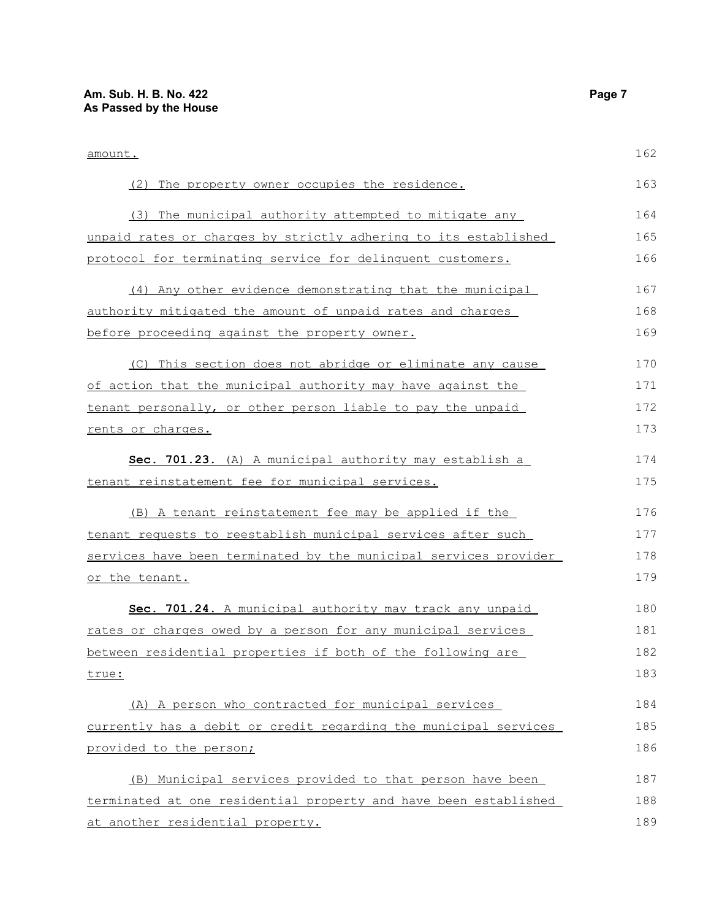| amount.                                                          | 162 |
|------------------------------------------------------------------|-----|
| (2) The property owner occupies the residence.                   | 163 |
| (3) The municipal authority attempted to mitigate any            | 164 |
| unpaid rates or charges by strictly adhering to its established  | 165 |
| protocol for terminating service for delinquent customers.       | 166 |
| (4) Any other evidence demonstrating that the municipal          | 167 |
| authority mitigated the amount of unpaid rates and charges       | 168 |
| before proceeding against the property owner.                    | 169 |
| (C) This section does not abridge or eliminate any cause         | 170 |
| of action that the municipal authority may have against the      | 171 |
| tenant personally, or other person liable to pay the unpaid      | 172 |
| rents or charges.                                                | 173 |
| Sec. 701.23. (A) A municipal authority may establish a           | 174 |
| tenant reinstatement fee for municipal services.                 | 175 |
| (B) A tenant reinstatement fee may be applied if the             | 176 |
| tenant requests to reestablish municipal services after such     | 177 |
| services have been terminated by the municipal services provider | 178 |
| or the tenant.                                                   | 179 |
| Sec. 701.24. A municipal authority may track any unpaid          | 180 |
| rates or charges owed by a person for any municipal services     | 181 |
| between residential properties if both of the following are      | 182 |
| true:                                                            | 183 |
| (A) A person who contracted for municipal services               | 184 |
| currently has a debit or credit regarding the municipal services | 185 |
| provided to the person;                                          | 186 |
| (B) Municipal services provided to that person have been         | 187 |
| terminated at one residential property and have been established | 188 |
| at another residential property.                                 | 189 |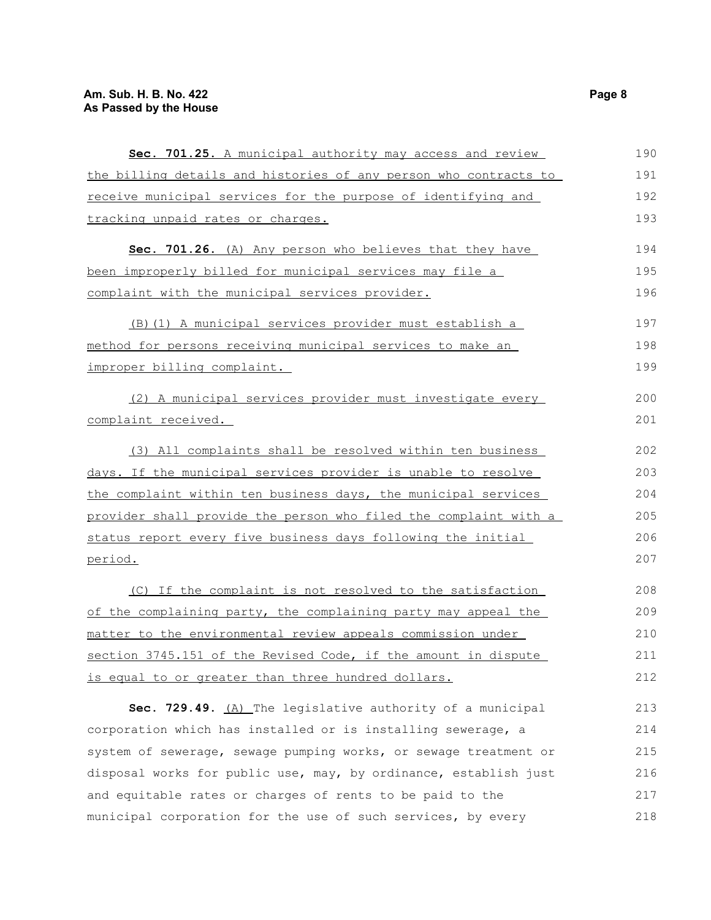| Sec. 701.25. A municipal authority may access and review           | 190 |
|--------------------------------------------------------------------|-----|
| the billing details and histories of any person who contracts to   | 191 |
| receive municipal services for the purpose of identifying and      | 192 |
| tracking unpaid rates or charges.                                  | 193 |
| Sec. 701.26. (A) Any person who believes that they have            | 194 |
| been improperly billed for municipal services may file a           | 195 |
| complaint with the municipal services provider.                    | 196 |
| (B) (1) A municipal services provider must establish a             | 197 |
| method for persons receiving municipal services to make an         | 198 |
| improper billing complaint.                                        | 199 |
| (2) A municipal services provider must investigate every           | 200 |
| complaint received.                                                | 201 |
| (3) All complaints shall be resolved within ten business           | 202 |
| days. If the municipal services provider is unable to resolve      | 203 |
| the complaint within ten business days, the municipal services     | 204 |
| provider shall provide the person who filed the complaint with a   | 205 |
| status report every five business days following the initial       | 206 |
| period.                                                            | 207 |
| (C) If the complaint is not resolved to the satisfaction           | 208 |
| of the complaining party, the complaining party may appeal the     | 209 |
| <u>matter to the environmental review appeals commission under</u> | 210 |
| section 3745.151 of the Revised Code, if the amount in dispute     | 211 |
| is equal to or greater than three hundred dollars.                 | 212 |
| Sec. 729.49. (A) The legislative authority of a municipal          | 213 |
| corporation which has installed or is installing sewerage, a       | 214 |
| system of sewerage, sewage pumping works, or sewage treatment or   | 215 |
| disposal works for public use, may, by ordinance, establish just   | 216 |
| and equitable rates or charges of rents to be paid to the          | 217 |
| municipal corporation for the use of such services, by every       | 218 |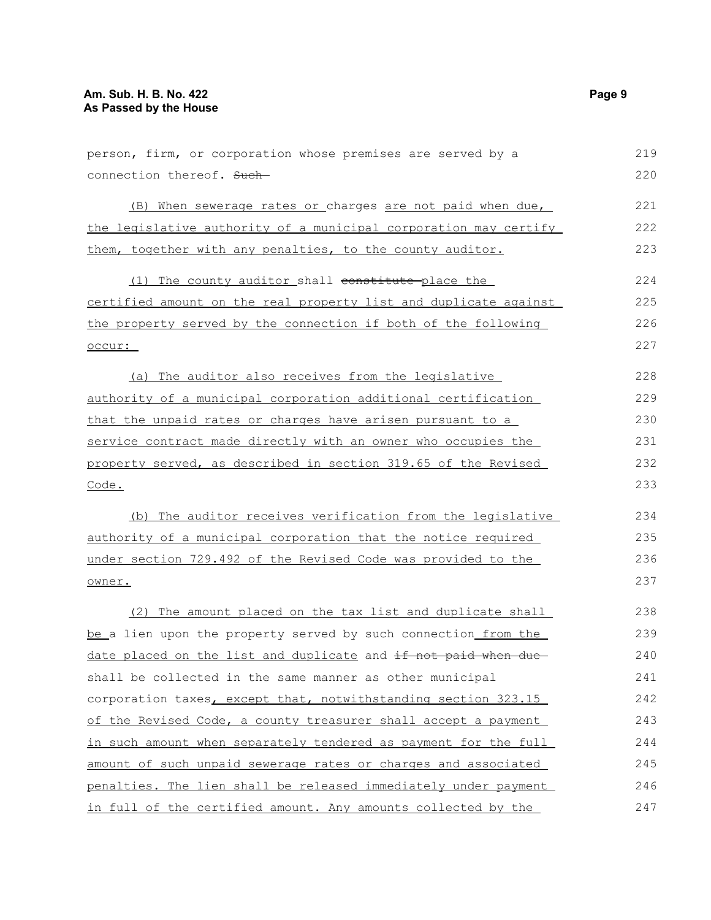| person, firm, or corporation whose premises are served by a      | 219 |
|------------------------------------------------------------------|-----|
| connection thereof. Such-                                        | 220 |
| (B) When sewerage rates or charges are not paid when due,        | 221 |
| the legislative authority of a municipal corporation may certify | 222 |
| them, together with any penalties, to the county auditor.        | 223 |
| (1) The county auditor shall constitute place the                | 224 |
| certified amount on the real property list and duplicate against | 225 |
| the property served by the connection if both of the following   | 226 |
| occur:                                                           | 227 |
| (a) The auditor also receives from the legislative               | 228 |
| authority of a municipal corporation additional certification    | 229 |
| that the unpaid rates or charges have arisen pursuant to a       | 230 |
| service contract made directly with an owner who occupies the    | 231 |
| property served, as described in section 319.65 of the Revised   | 232 |
| Code.                                                            | 233 |
| (b) The auditor receives verification from the legislative       | 234 |
| authority of a municipal corporation that the notice required    | 235 |
| under section 729.492 of the Revised Code was provided to the    | 236 |
| owner.                                                           | 237 |
| (2) The amount placed on the tax list and duplicate shall        | 238 |
| be a lien upon the property served by such connection from the   | 239 |
| date placed on the list and duplicate and if not paid when due   | 240 |
| shall be collected in the same manner as other municipal         | 241 |
| corporation taxes, except that, notwithstanding section 323.15   | 242 |
| of the Revised Code, a county treasurer shall accept a payment   | 243 |
| in such amount when separately tendered as payment for the full  | 244 |
| amount of such unpaid sewerage rates or charges and associated   | 245 |
| penalties. The lien shall be released immediately under payment  | 246 |
| in full of the certified amount. Any amounts collected by the    | 247 |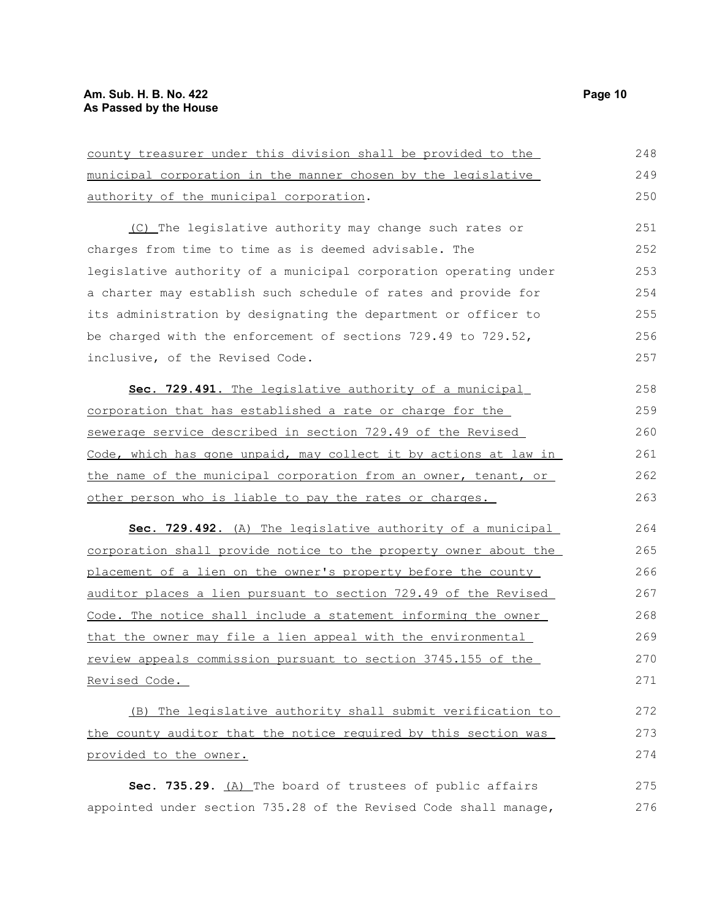| county treasurer under this division shall be provided to the    | 248 |
|------------------------------------------------------------------|-----|
| municipal corporation in the manner chosen by the legislative    | 249 |
| authority of the municipal corporation.                          | 250 |
| (C) The legislative authority may change such rates or           | 251 |
| charges from time to time as is deemed advisable. The            | 252 |
| legislative authority of a municipal corporation operating under | 253 |
| a charter may establish such schedule of rates and provide for   | 254 |
| its administration by designating the department or officer to   | 255 |
| be charged with the enforcement of sections 729.49 to 729.52,    | 256 |
| inclusive, of the Revised Code.                                  | 257 |
| Sec. 729.491. The legislative authority of a municipal           | 258 |
| corporation that has established a rate or charge for the        | 259 |
| sewerage service described in section 729.49 of the Revised      | 260 |
| Code, which has gone unpaid, may collect it by actions at law in | 261 |
| the name of the municipal corporation from an owner, tenant, or  | 262 |
| other person who is liable to pay the rates or charges.          | 263 |
| Sec. 729.492. (A) The legislative authority of a municipal       | 264 |
| corporation shall provide notice to the property owner about the | 265 |
| placement of a lien on the owner's property before the county    | 266 |
| auditor places a lien pursuant to section 729.49 of the Revised  | 267 |
| Code. The notice shall include a statement informing the owner   | 268 |
| that the owner may file a lien appeal with the environmental     | 269 |
| review appeals commission pursuant to section 3745.155 of the    | 270 |
| Revised Code.                                                    | 271 |
| (B) The legislative authority shall submit verification to       | 272 |
| the county auditor that the notice required by this section was  | 273 |
| provided to the owner.                                           | 274 |
| Sec. 735.29. (A) The board of trustees of public affairs         | 275 |
| appointed under section 735.28 of the Revised Code shall manage, | 276 |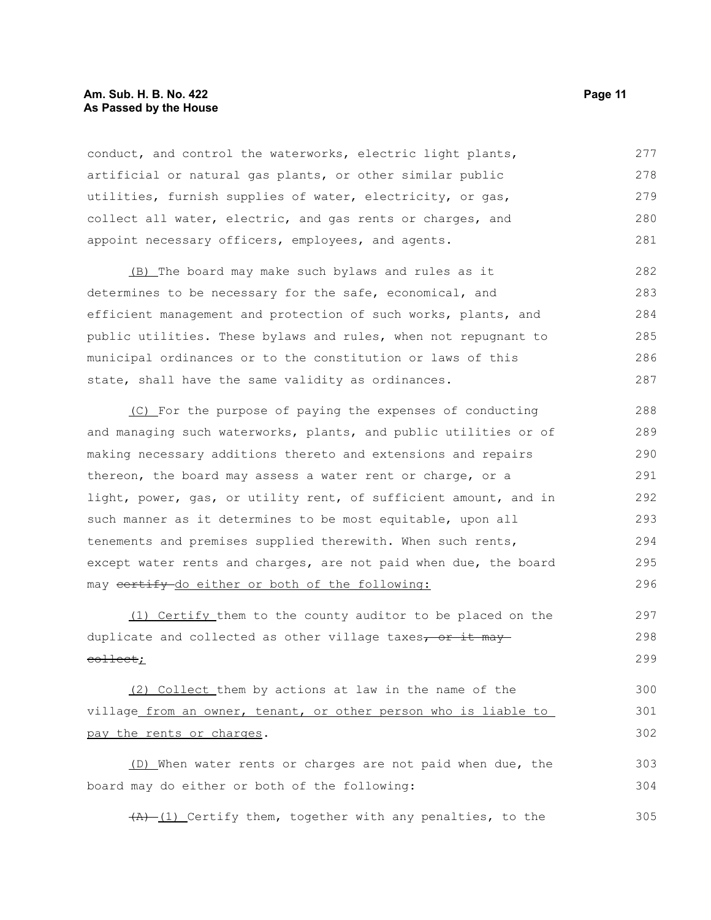#### **Am. Sub. H. B. No. 422 Page 11 As Passed by the House**

conduct, and control the waterworks, electric light plants, artificial or natural gas plants, or other similar public utilities, furnish supplies of water, electricity, or gas, collect all water, electric, and gas rents or charges, and appoint necessary officers, employees, and agents. 277 278 279 280 281

(B) The board may make such bylaws and rules as it determines to be necessary for the safe, economical, and efficient management and protection of such works, plants, and public utilities. These bylaws and rules, when not repugnant to municipal ordinances or to the constitution or laws of this state, shall have the same validity as ordinances. 282 283 284 285 286 287

(C) For the purpose of paying the expenses of conducting and managing such waterworks, plants, and public utilities or of making necessary additions thereto and extensions and repairs thereon, the board may assess a water rent or charge, or a light, power, gas, or utility rent, of sufficient amount, and in such manner as it determines to be most equitable, upon all tenements and premises supplied therewith. When such rents, except water rents and charges, are not paid when due, the board may certify do either or both of the following: 288 289 290 291 292 293 294 295 296

(1) Certify them to the county auditor to be placed on the duplicate and collected as other village taxes, or it may collect; 297 298 299

(2) Collect them by actions at law in the name of the village from an owner, tenant, or other person who is liable to pay the rents or charges. 300 301 302

(D) When water rents or charges are not paid when due, the board may do either or both of the following: 303 304

 $(A)$  (1) Certify them, together with any penalties, to the 305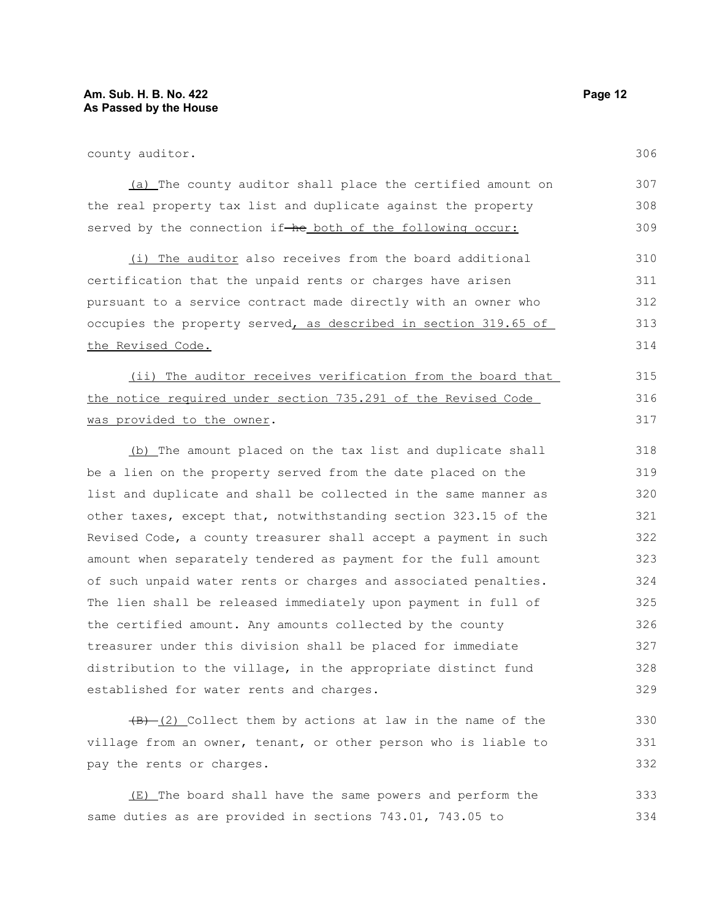306

309

330 331 332

county auditor.

(a) The county auditor shall place the certified amount on the real property tax list and duplicate against the property 307 308

(i) The auditor also receives from the board additional certification that the unpaid rents or charges have arisen pursuant to a service contract made directly with an owner who occupies the property served, as described in section 319.65 of the Revised Code. 310 311 312 313 314

served by the connection if-he both of the following occur:

(ii) The auditor receives verification from the board that the notice required under section 735.291 of the Revised Code was provided to the owner. 315 316 317

(b) The amount placed on the tax list and duplicate shall be a lien on the property served from the date placed on the list and duplicate and shall be collected in the same manner as other taxes, except that, notwithstanding section 323.15 of the Revised Code, a county treasurer shall accept a payment in such amount when separately tendered as payment for the full amount of such unpaid water rents or charges and associated penalties. The lien shall be released immediately upon payment in full of the certified amount. Any amounts collected by the county treasurer under this division shall be placed for immediate distribution to the village, in the appropriate distinct fund established for water rents and charges. 318 319 320 321 322 323 324 325 326 327 328 329

 $(B)$  (2) Collect them by actions at law in the name of the village from an owner, tenant, or other person who is liable to pay the rents or charges.

(E) The board shall have the same powers and perform the same duties as are provided in sections 743.01, 743.05 to 333 334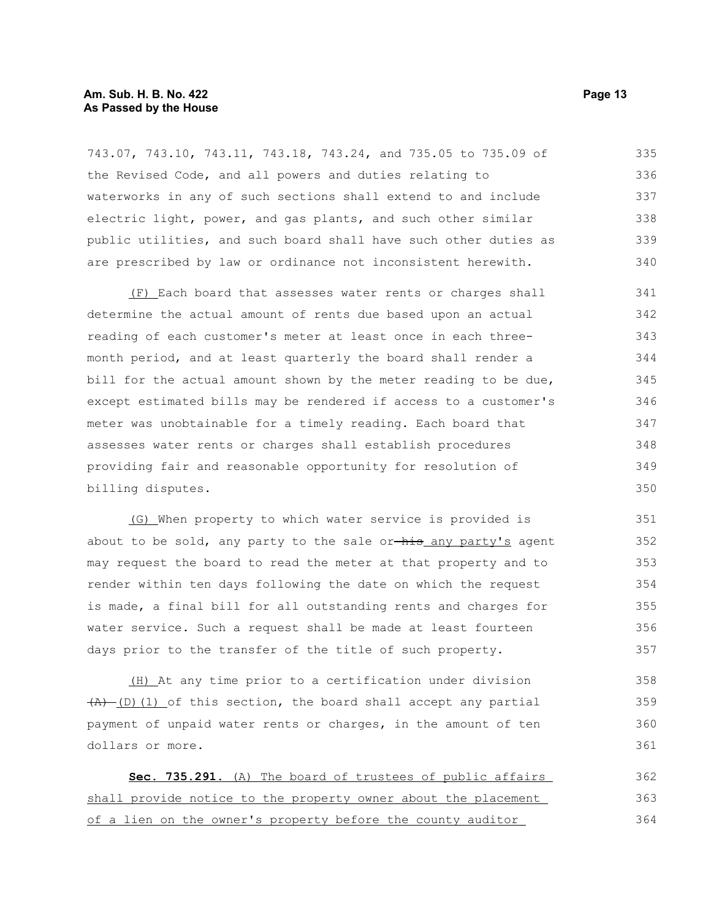#### **Am. Sub. H. B. No. 422 Page 13 As Passed by the House**

743.07, 743.10, 743.11, 743.18, 743.24, and 735.05 to 735.09 of the Revised Code, and all powers and duties relating to waterworks in any of such sections shall extend to and include electric light, power, and gas plants, and such other similar public utilities, and such board shall have such other duties as are prescribed by law or ordinance not inconsistent herewith. 335 336 337 338 339 340

(F) Each board that assesses water rents or charges shall determine the actual amount of rents due based upon an actual reading of each customer's meter at least once in each threemonth period, and at least quarterly the board shall render a bill for the actual amount shown by the meter reading to be due, except estimated bills may be rendered if access to a customer's meter was unobtainable for a timely reading. Each board that assesses water rents or charges shall establish procedures providing fair and reasonable opportunity for resolution of billing disputes. 341 342 343 344 345 346 347 348 349 350

(G) When property to which water service is provided is about to be sold, any party to the sale or-his any party's agent may request the board to read the meter at that property and to render within ten days following the date on which the request is made, a final bill for all outstanding rents and charges for water service. Such a request shall be made at least fourteen days prior to the transfer of the title of such property.

(H) At any time prior to a certification under division  $(A)$  (D)(1) of this section, the board shall accept any partial payment of unpaid water rents or charges, in the amount of ten dollars or more. 358 359 360 361

 **Sec. 735.291.** (A) The board of trustees of public affairs shall provide notice to the property owner about the placement of a lien on the owner's property before the county auditor 362 363 364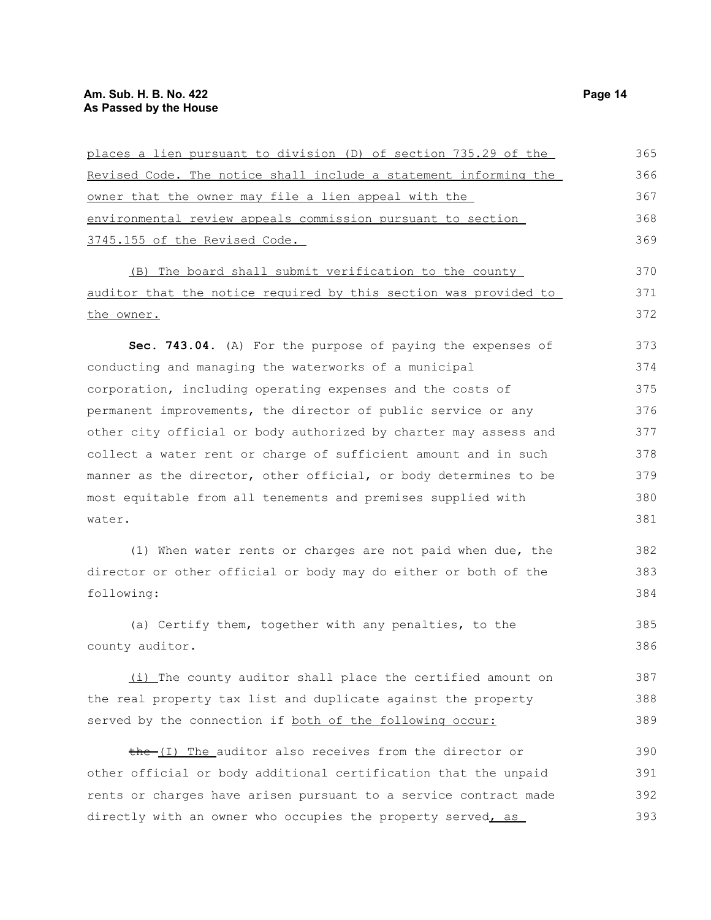| places a lien pursuant to division (D) of section 735.29 of the  | 365 |
|------------------------------------------------------------------|-----|
| Revised Code. The notice shall include a statement informing the | 366 |
| owner that the owner may file a lien appeal with the             | 367 |
| environmental review appeals commission pursuant to section      | 368 |
| 3745.155 of the Revised Code.                                    | 369 |
| (B) The board shall submit verification to the county            | 370 |
| auditor that the notice required by this section was provided to | 371 |
| the owner.                                                       | 372 |
| Sec. 743.04. (A) For the purpose of paying the expenses of       | 373 |
| conducting and managing the waterworks of a municipal            | 374 |
| corporation, including operating expenses and the costs of       | 375 |
| permanent improvements, the director of public service or any    | 376 |
| other city official or body authorized by charter may assess and | 377 |
| collect a water rent or charge of sufficient amount and in such  | 378 |
| manner as the director, other official, or body determines to be | 379 |
| most equitable from all tenements and premises supplied with     | 380 |
| water.                                                           | 381 |
| (1) When water rents or charges are not paid when due, the       | 382 |
| director or other official or body may do either or both of the  | 383 |
| following:                                                       | 384 |
| (a) Certify them, together with any penalties, to the            | 385 |
| county auditor.                                                  | 386 |
| (i) The county auditor shall place the certified amount on       | 387 |
| the real property tax list and duplicate against the property    | 388 |
| served by the connection if both of the following occur:         | 389 |
| the (I) The auditor also receives from the director or           | 390 |
| other official or body additional certification that the unpaid  | 391 |
| rents or charges have arisen pursuant to a service contract made | 392 |
| directly with an owner who occupies the property served, as      | 393 |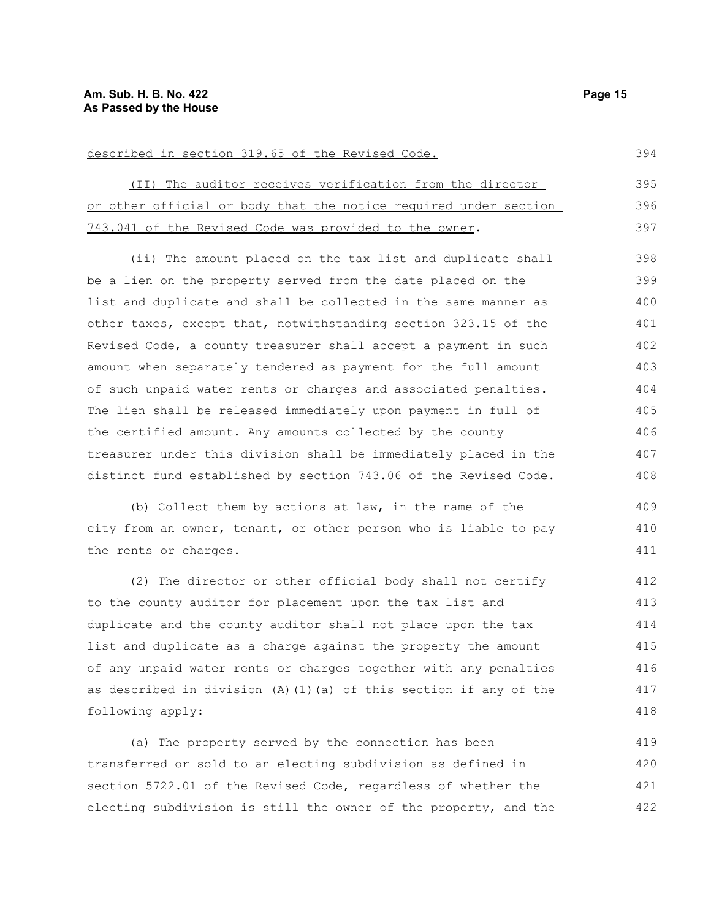# described in section 319.65 of the Revised Code.

(II) The auditor receives verification from the director or other official or body that the notice required under section 743.041 of the Revised Code was provided to the owner. 395 396 397

(ii) The amount placed on the tax list and duplicate shall be a lien on the property served from the date placed on the list and duplicate and shall be collected in the same manner as other taxes, except that, notwithstanding section 323.15 of the Revised Code, a county treasurer shall accept a payment in such amount when separately tendered as payment for the full amount of such unpaid water rents or charges and associated penalties. The lien shall be released immediately upon payment in full of the certified amount. Any amounts collected by the county treasurer under this division shall be immediately placed in the distinct fund established by section 743.06 of the Revised Code. 398 399 400 401 402 403 404 405 406 407 408

(b) Collect them by actions at law, in the name of the city from an owner, tenant, or other person who is liable to pay the rents or charges.

(2) The director or other official body shall not certify to the county auditor for placement upon the tax list and duplicate and the county auditor shall not place upon the tax list and duplicate as a charge against the property the amount of any unpaid water rents or charges together with any penalties as described in division  $(A)$  (1)(a) of this section if any of the following apply: 412 413 414 415 416 417 418

(a) The property served by the connection has been transferred or sold to an electing subdivision as defined in section 5722.01 of the Revised Code, regardless of whether the electing subdivision is still the owner of the property, and the 419 420 421 422

394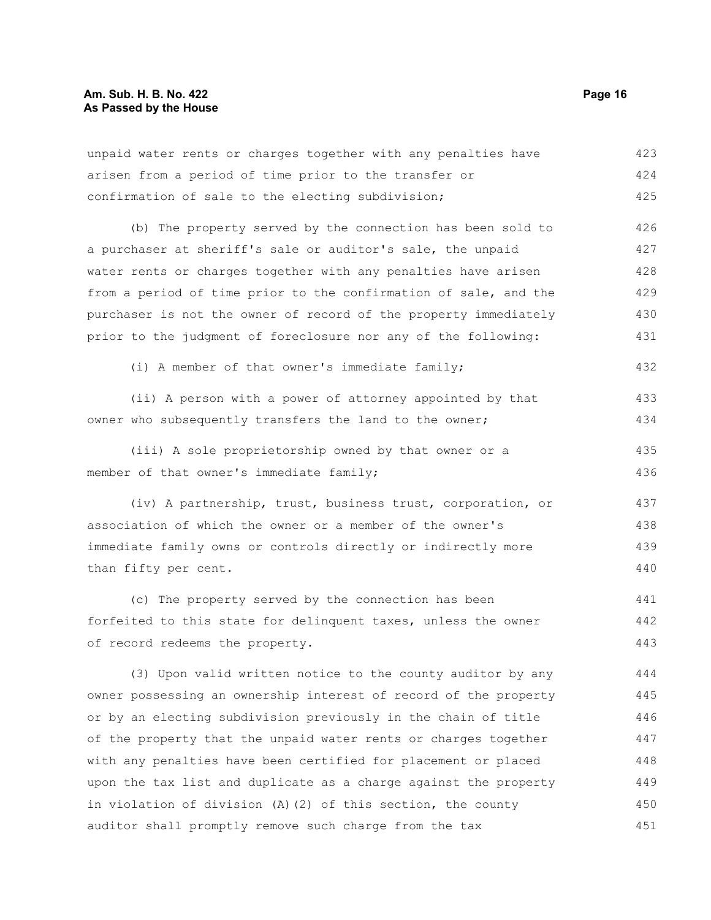| unpaid water rents or charges together with any penalties have   | 423 |
|------------------------------------------------------------------|-----|
| arisen from a period of time prior to the transfer or            | 424 |
| confirmation of sale to the electing subdivision;                | 425 |
| (b) The property served by the connection has been sold to       | 426 |
| a purchaser at sheriff's sale or auditor's sale, the unpaid      | 427 |
| water rents or charges together with any penalties have arisen   | 428 |
| from a period of time prior to the confirmation of sale, and the | 429 |
| purchaser is not the owner of record of the property immediately | 430 |
| prior to the judgment of foreclosure nor any of the following:   | 431 |
| (i) A member of that owner's immediate family;                   | 432 |
| (ii) A person with a power of attorney appointed by that         | 433 |
| owner who subsequently transfers the land to the owner;          | 434 |
| (iii) A sole proprietorship owned by that owner or a             | 435 |
| member of that owner's immediate family;                         | 436 |
| (iv) A partnership, trust, business trust, corporation, or       | 437 |
| association of which the owner or a member of the owner's        | 438 |
| immediate family owns or controls directly or indirectly more    | 439 |
| than fifty per cent.                                             | 440 |
| (c) The property served by the connection has been               | 441 |
| forfeited to this state for delinquent taxes, unless the owner   | 442 |
| of record redeems the property.                                  | 443 |
| (3) Upon valid written notice to the county auditor by any       | 444 |
| owner possessing an ownership interest of record of the property | 445 |
| or by an electing subdivision previously in the chain of title   | 446 |
| of the property that the unpaid water rents or charges together  | 447 |
| with any penalties have been certified for placement or placed   | 448 |
| upon the tax list and duplicate as a charge against the property | 449 |
| in violation of division (A) (2) of this section, the county     | 450 |

auditor shall promptly remove such charge from the tax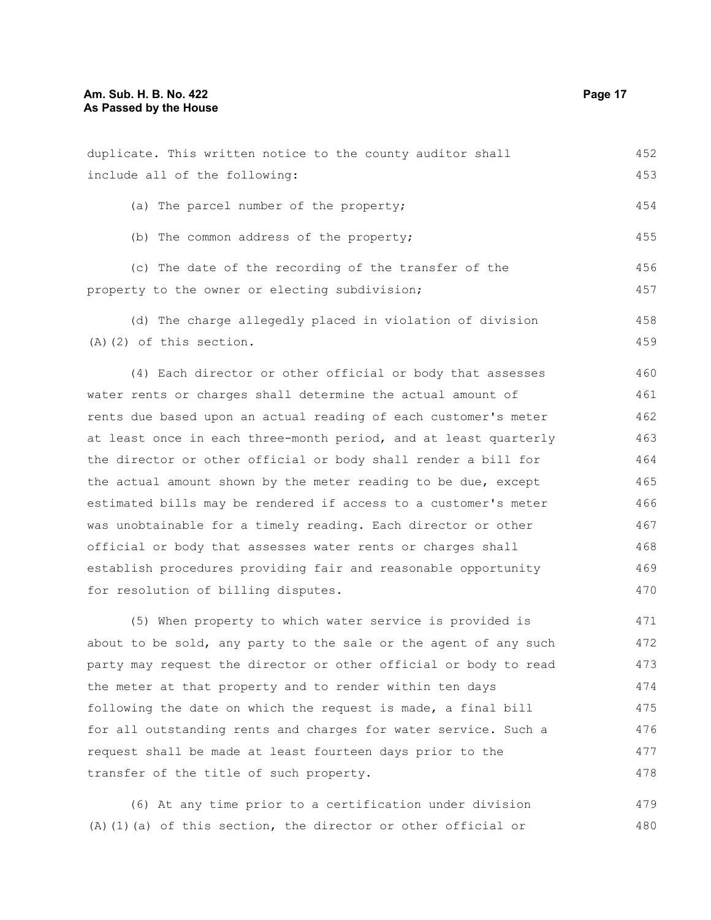| duplicate. This written notice to the county auditor shall       | 452 |
|------------------------------------------------------------------|-----|
| include all of the following:                                    | 453 |
| (a) The parcel number of the property;                           | 454 |
| (b) The common address of the property;                          | 455 |
| (c) The date of the recording of the transfer of the             | 456 |
| property to the owner or electing subdivision;                   | 457 |
| (d) The charge allegedly placed in violation of division         | 458 |
| $(A)$ $(2)$ of this section.                                     | 459 |
| (4) Each director or other official or body that assesses        | 460 |
| water rents or charges shall determine the actual amount of      | 461 |
| rents due based upon an actual reading of each customer's meter  | 462 |
| at least once in each three-month period, and at least quarterly | 463 |
| the director or other official or body shall render a bill for   | 464 |
| the actual amount shown by the meter reading to be due, except   | 465 |
| estimated bills may be rendered if access to a customer's meter  | 466 |
| was unobtainable for a timely reading. Each director or other    | 467 |
| official or body that assesses water rents or charges shall      | 468 |
| establish procedures providing fair and reasonable opportunity   | 469 |
| for resolution of billing disputes.                              | 470 |
| (5) When property to which water service is provided is          | 471 |
| about to be sold, any party to the sale or the agent of any such | 472 |
| party may request the director or other official or body to read | 473 |
| the meter at that property and to render within ten days         | 474 |
| following the date on which the request is made, a final bill    | 475 |
| for all outstanding rents and charges for water service. Such a  | 476 |
| request shall be made at least fourteen days prior to the        | 477 |

(6) At any time prior to a certification under division (A)(1)(a) of this section, the director or other official or 479 480

transfer of the title of such property.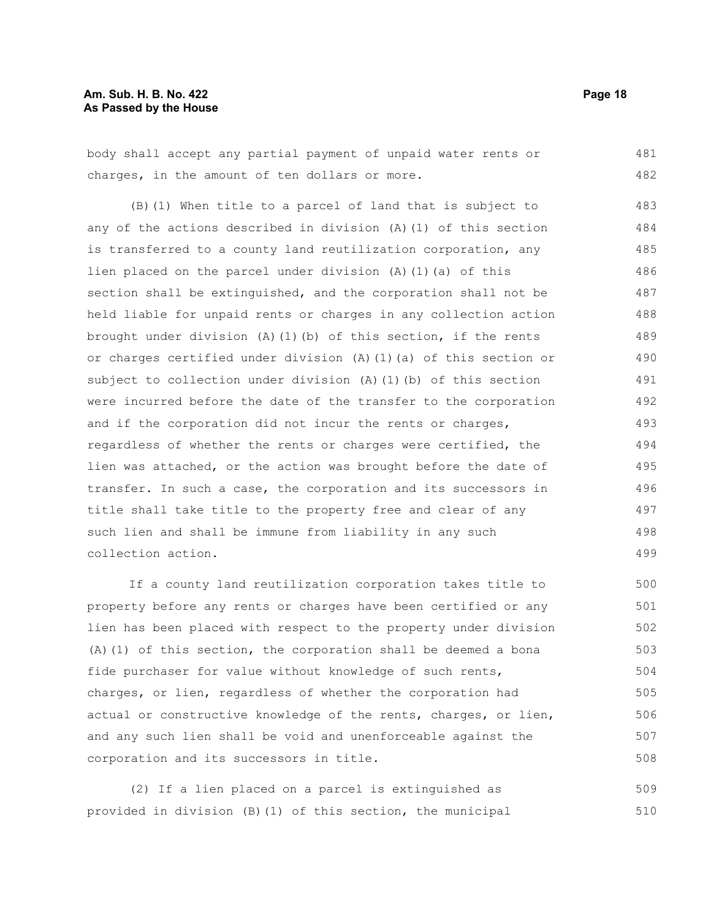#### **Am. Sub. H. B. No. 422 Page 18 As Passed by the House**

body shall accept any partial payment of unpaid water rents or charges, in the amount of ten dollars or more. 481 482

(B)(1) When title to a parcel of land that is subject to any of the actions described in division (A)(1) of this section is transferred to a county land reutilization corporation, any lien placed on the parcel under division (A)(1)(a) of this section shall be extinguished, and the corporation shall not be held liable for unpaid rents or charges in any collection action brought under division (A)(1)(b) of this section, if the rents or charges certified under division (A)(1)(a) of this section or subject to collection under division (A)(1)(b) of this section were incurred before the date of the transfer to the corporation and if the corporation did not incur the rents or charges, regardless of whether the rents or charges were certified, the lien was attached, or the action was brought before the date of transfer. In such a case, the corporation and its successors in title shall take title to the property free and clear of any such lien and shall be immune from liability in any such collection action. 483 484 485 486 487 488 489 490 491 492 493 494 495 496 497 498 499

If a county land reutilization corporation takes title to property before any rents or charges have been certified or any lien has been placed with respect to the property under division (A)(1) of this section, the corporation shall be deemed a bona fide purchaser for value without knowledge of such rents, charges, or lien, regardless of whether the corporation had actual or constructive knowledge of the rents, charges, or lien, and any such lien shall be void and unenforceable against the corporation and its successors in title. 500 501 502 503 504 505 506 507 508

(2) If a lien placed on a parcel is extinguished as provided in division (B)(1) of this section, the municipal 509 510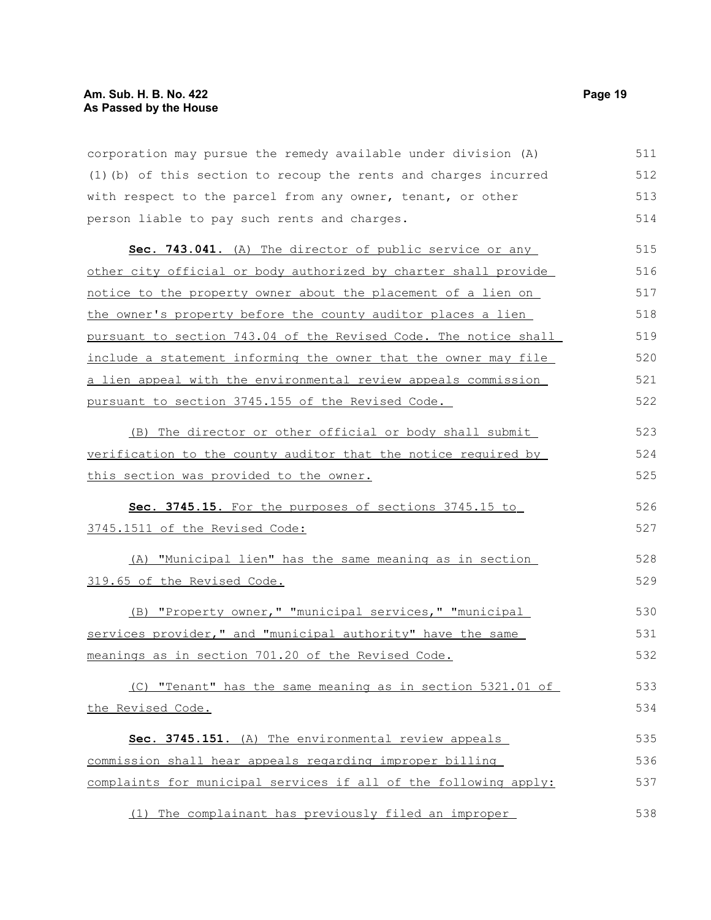corporation may pursue the remedy available under division (A) (1)(b) of this section to recoup the rents and charges incurred with respect to the parcel from any owner, tenant, or other person liable to pay such rents and charges. 511 512 513 514

 **Sec. 743.041.** (A) The director of public service or any other city official or body authorized by charter shall provide notice to the property owner about the placement of a lien on the owner's property before the county auditor places a lien pursuant to section 743.04 of the Revised Code. The notice shall include a statement informing the owner that the owner may file a lien appeal with the environmental review appeals commission pursuant to section 3745.155 of the Revised Code. 515 516 517 518 519 520 521 522

(B) The director or other official or body shall submit verification to the county auditor that the notice required by this section was provided to the owner. 523 524 525

 **Sec. 3745.15.** For the purposes of sections 3745.15 to 3745.1511 of the Revised Code: 526 527

(A) "Municipal lien" has the same meaning as in section 319.65 of the Revised Code.

(B) "Property owner," "municipal services," "municipal services provider," and "municipal authority" have the same meanings as in section 701.20 of the Revised Code. 530 531 532

(C) "Tenant" has the same meaning as in section 5321.01 of the Revised Code. 533 534

 **Sec. 3745.151.** (A) The environmental review appeals commission shall hear appeals regarding improper billing complaints for municipal services if all of the following apply: 535 536 537

(1) The complainant has previously filed an improper 538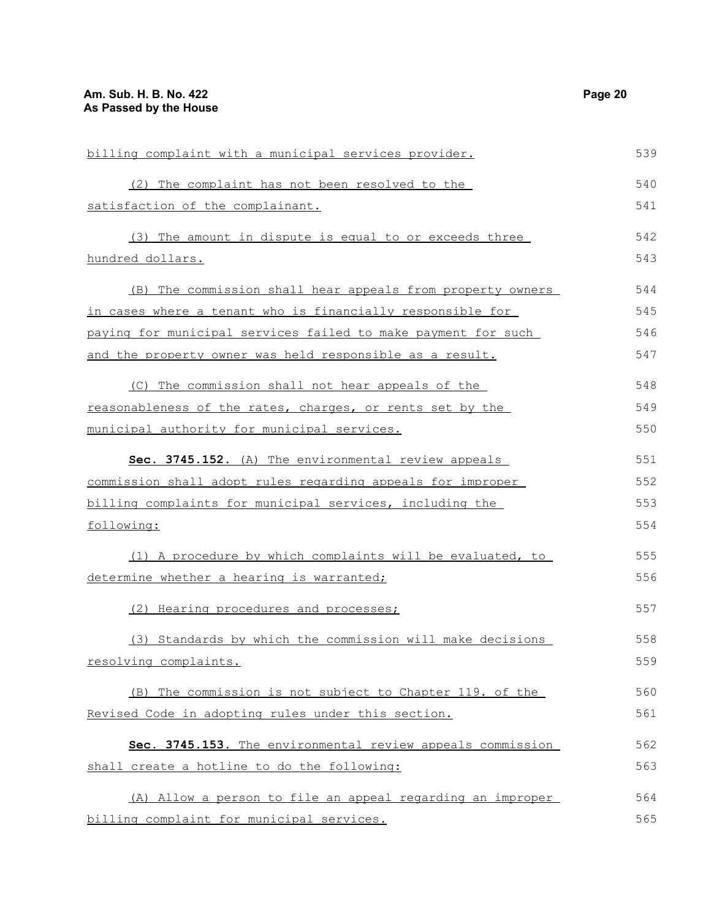| billing complaint with a municipal services provider.         | 539 |
|---------------------------------------------------------------|-----|
| (2) The complaint has not been resolved to the                | 540 |
| satisfaction of the complainant.                              | 541 |
| (3) The amount in dispute is equal to or exceeds three        | 542 |
| hundred dollars.                                              | 543 |
| (B) The commission shall hear appeals from property owners    | 544 |
| in cases where a tenant who is financially responsible for    | 545 |
| paying for municipal services failed to make payment for such | 546 |
| and the property owner was held responsible as a result.      | 547 |
| (C) The commission shall not hear appeals of the              | 548 |
| reasonableness of the rates, charges, or rents set by the     | 549 |
| municipal authority for municipal services.                   | 550 |
| Sec. 3745.152. (A) The environmental review appeals           | 551 |
| commission shall adopt rules regarding appeals for improper   | 552 |
| billing complaints for municipal services, including the      | 553 |
| following:                                                    | 554 |
| (1) A procedure by which complaints will be evaluated, to     | 555 |
| determine whether a hearing is warranted;                     | 556 |
| (2) Hearing procedures and processes;                         | 557 |
| (3) Standards by which the commission will make decisions     | 558 |
| resolving complaints.                                         | 559 |
| (B) The commission is not subject to Chapter 119. of the      | 560 |
| Revised Code in adopting rules under this section.            | 561 |
| Sec. 3745.153. The environmental review appeals commission    | 562 |
| shall create a hotline to do the following:                   | 563 |
| (A) Allow a person to file an appeal regarding an improper    | 564 |
| billing complaint for municipal services.                     | 565 |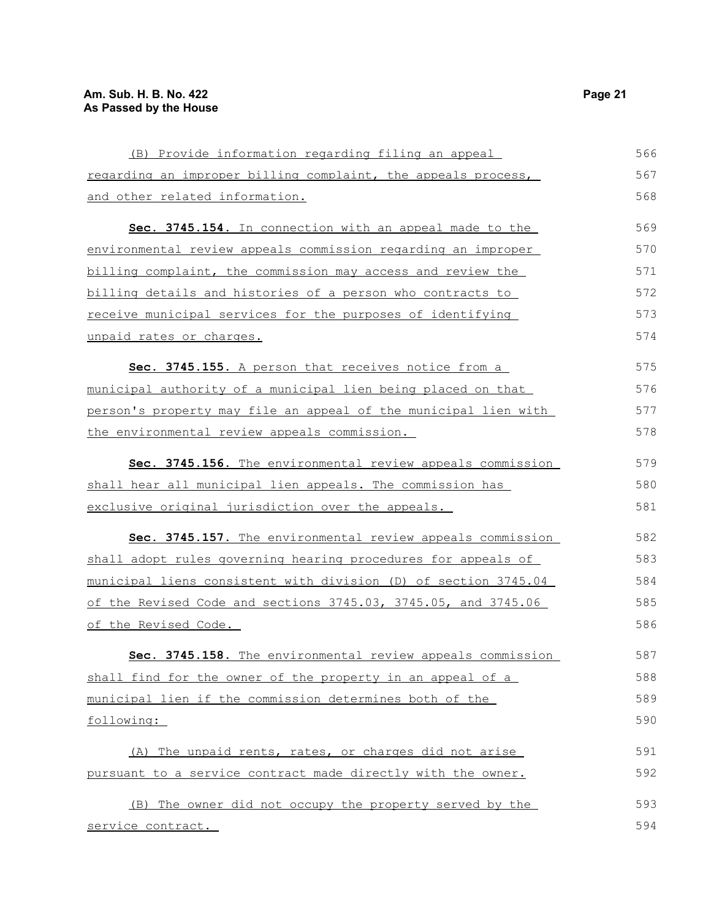| (B) Provide information regarding filing an appeal                | 566 |
|-------------------------------------------------------------------|-----|
| regarding an improper billing complaint, the appeals process,     | 567 |
| and other related information.                                    | 568 |
| Sec. 3745.154. In connection with an appeal made to the           | 569 |
| environmental review appeals commission regarding an improper     | 570 |
| billing complaint, the commission may access and review the       | 571 |
| billing details and histories of a person who contracts to        | 572 |
| <u>receive municipal services for the purposes of identifying</u> | 573 |
| unpaid rates or charges.                                          | 574 |
| Sec. 3745.155. A person that receives notice from a               | 575 |
| municipal authority of a municipal lien being placed on that      | 576 |
| person's property may file an appeal of the municipal lien with   | 577 |
| the environmental review appeals commission.                      | 578 |
| Sec. 3745.156. The environmental review appeals commission        | 579 |
| shall hear all municipal lien appeals. The commission has         | 580 |
| exclusive original jurisdiction over the appeals.                 | 581 |
| Sec. 3745.157. The environmental review appeals commission        | 582 |
| shall adopt rules governing hearing procedures for appeals of     | 583 |
| municipal liens consistent with division (D) of section 3745.04   | 584 |
| of the Revised Code and sections 3745.03, 3745.05, and 3745.06    | 585 |
| of the Revised Code.                                              | 586 |
| Sec. 3745.158. The environmental review appeals commission        | 587 |
| shall find for the owner of the property in an appeal of a        | 588 |
| municipal lien if the commission determines both of the           | 589 |
| following:                                                        | 590 |
| (A) The unpaid rents, rates, or charges did not arise             | 591 |
| pursuant to a service contract made directly with the owner.      | 592 |
| (B) The owner did not occupy the property served by the           | 593 |
| service contract.                                                 | 594 |